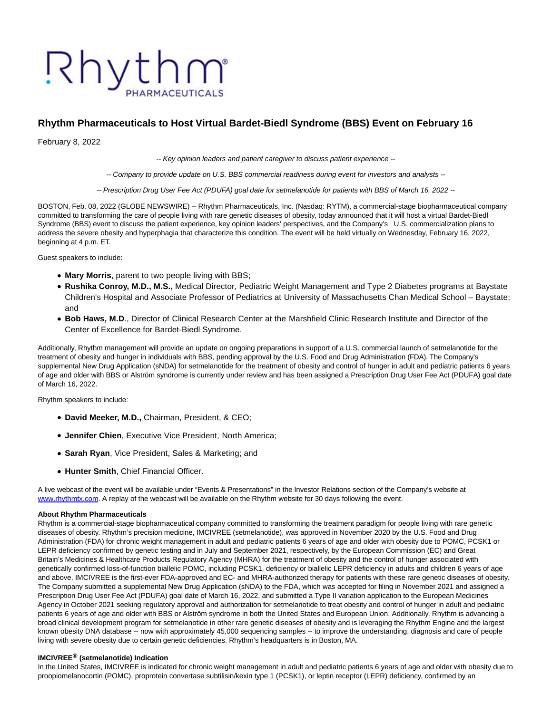# Rhythm

# **Rhythm Pharmaceuticals to Host Virtual Bardet-Biedl Syndrome (BBS) Event on February 16**

February 8, 2022

-- Key opinion leaders and patient caregiver to discuss patient experience --

-- Company to provide update on U.S. BBS commercial readiness during event for investors and analysts --

-- Prescription Drug User Fee Act (PDUFA) goal date for setmelanotide for patients with BBS of March 16, 2022 --

BOSTON, Feb. 08, 2022 (GLOBE NEWSWIRE) -- Rhythm Pharmaceuticals, Inc. (Nasdaq: RYTM), a commercial-stage biopharmaceutical company committed to transforming the care of people living with rare genetic diseases of obesity, today announced that it will host a virtual Bardet-Biedl Syndrome (BBS) event to discuss the patient experience, key opinion leaders' perspectives, and the Company's U.S. commercialization plans to address the severe obesity and hyperphagia that characterize this condition. The event will be held virtually on Wednesday, February 16, 2022, beginning at 4 p.m. ET.

Guest speakers to include:

- **Mary Morris**, parent to two people living with BBS;
- **Rushika Conroy, M.D., M.S.,** Medical Director, Pediatric Weight Management and Type 2 Diabetes programs at Baystate Children's Hospital and Associate Professor of Pediatrics at University of Massachusetts Chan Medical School – Baystate; and
- **Bob Haws, M.D.**, Director of Clinical Research Center at the Marshfield Clinic Research Institute and Director of the Center of Excellence for Bardet-Biedl Syndrome.

Additionally, Rhythm management will provide an update on ongoing preparations in support of a U.S. commercial launch of setmelanotide for the treatment of obesity and hunger in individuals with BBS, pending approval by the U.S. Food and Drug Administration (FDA). The Company's supplemental New Drug Application (sNDA) for setmelanotide for the treatment of obesity and control of hunger in adult and pediatric patients 6 years of age and older with BBS or Alström syndrome is currently under review and has been assigned a Prescription Drug User Fee Act (PDUFA) goal date of March 16, 2022.

Rhythm speakers to include:

- **David Meeker, M.D.,** Chairman, President, & CEO;
- **Jennifer Chien**, Executive Vice President, North America;
- **Sarah Ryan**, Vice President, Sales & Marketing; and
- **Hunter Smith**, Chief Financial Officer.

A live webcast of the event will be available under "Events & Presentations" in the Investor Relations section of the Company's website at [www.rhythmtx.com.](http://www.rhythmtx.com/) A replay of the webcast will be available on the Rhythm website for 30 days following the event.

#### **About Rhythm Pharmaceuticals**

Rhythm is a commercial-stage biopharmaceutical company committed to transforming the treatment paradigm for people living with rare genetic diseases of obesity. Rhythm's precision medicine, IMCIVREE (setmelanotide), was approved in November 2020 by the U.S. Food and Drug Administration (FDA) for chronic weight management in adult and pediatric patients 6 years of age and older with obesity due to POMC, PCSK1 or LEPR deficiency confirmed by genetic testing and in July and September 2021, respectively, by the European Commission (EC) and Great Britain's Medicines & Healthcare Products Regulatory Agency (MHRA) for the treatment of obesity and the control of hunger associated with genetically confirmed loss-of-function biallelic POMC, including PCSK1, deficiency or biallelic LEPR deficiency in adults and children 6 years of age and above. IMCIVREE is the first-ever FDA-approved and EC- and MHRA-authorized therapy for patients with these rare genetic diseases of obesity. The Company submitted a supplemental New Drug Application (sNDA) to the FDA, which was accepted for filing in November 2021 and assigned a Prescription Drug User Fee Act (PDUFA) goal date of March 16, 2022, and submitted a Type II variation application to the European Medicines Agency in October 2021 seeking regulatory approval and authorization for setmelanotide to treat obesity and control of hunger in adult and pediatric patients 6 years of age and older with BBS or Alström syndrome in both the United States and European Union. Additionally, Rhythm is advancing a broad clinical development program for setmelanotide in other rare genetic diseases of obesity and is leveraging the Rhythm Engine and the largest known obesity DNA database -- now with approximately 45,000 sequencing samples -- to improve the understanding, diagnosis and care of people living with severe obesity due to certain genetic deficiencies. Rhythm's headquarters is in Boston, MA.

#### **IMCIVREE® (setmelanotide) Indication**

In the United States, IMCIVREE is indicated for chronic weight management in adult and pediatric patients 6 years of age and older with obesity due to proopiomelanocortin (POMC), proprotein convertase subtilisin/kexin type 1 (PCSK1), or leptin receptor (LEPR) deficiency, confirmed by an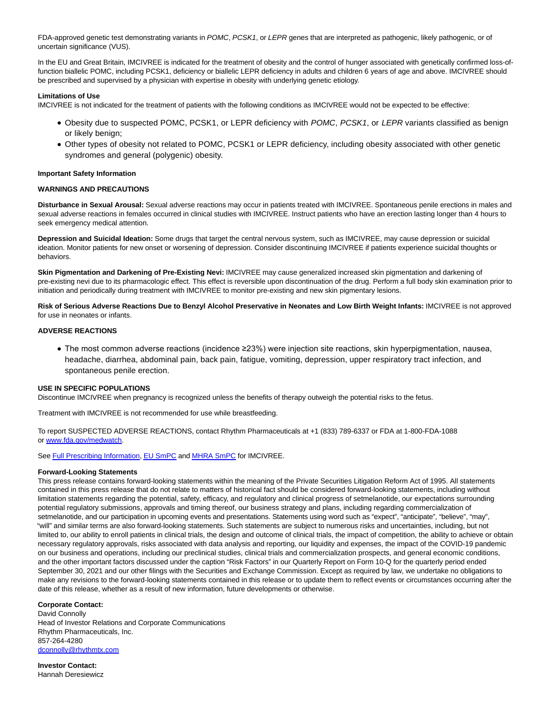FDA-approved genetic test demonstrating variants in POMC, PCSK1, or LEPR genes that are interpreted as pathogenic, likely pathogenic, or of uncertain significance (VUS).

In the EU and Great Britain, IMCIVREE is indicated for the treatment of obesity and the control of hunger associated with genetically confirmed loss-offunction biallelic POMC, including PCSK1, deficiency or biallelic LEPR deficiency in adults and children 6 years of age and above. IMCIVREE should be prescribed and supervised by a physician with expertise in obesity with underlying genetic etiology.

## **Limitations of Use**

IMCIVREE is not indicated for the treatment of patients with the following conditions as IMCIVREE would not be expected to be effective:

- Obesity due to suspected POMC, PCSK1, or LEPR deficiency with POMC, PCSK1, or LEPR variants classified as benign or likely benign;
- Other types of obesity not related to POMC, PCSK1 or LEPR deficiency, including obesity associated with other genetic syndromes and general (polygenic) obesity.

#### **Important Safety Information**

## **WARNINGS AND PRECAUTIONS**

**Disturbance in Sexual Arousal:** Sexual adverse reactions may occur in patients treated with IMCIVREE. Spontaneous penile erections in males and sexual adverse reactions in females occurred in clinical studies with IMCIVREE. Instruct patients who have an erection lasting longer than 4 hours to seek emergency medical attention.

**Depression and Suicidal Ideation:** Some drugs that target the central nervous system, such as IMCIVREE, may cause depression or suicidal ideation. Monitor patients for new onset or worsening of depression. Consider discontinuing IMCIVREE if patients experience suicidal thoughts or behaviors.

**Skin Pigmentation and Darkening of Pre-Existing Nevi:** IMCIVREE may cause generalized increased skin pigmentation and darkening of pre-existing nevi due to its pharmacologic effect. This effect is reversible upon discontinuation of the drug. Perform a full body skin examination prior to initiation and periodically during treatment with IMCIVREE to monitor pre-existing and new skin pigmentary lesions.

**Risk of Serious Adverse Reactions Due to Benzyl Alcohol Preservative in Neonates and Low Birth Weight Infants:** IMCIVREE is not approved for use in neonates or infants.

### **ADVERSE REACTIONS**

The most common adverse reactions (incidence ≥23%) were injection site reactions, skin hyperpigmentation, nausea, headache, diarrhea, abdominal pain, back pain, fatigue, vomiting, depression, upper respiratory tract infection, and spontaneous penile erection.

# **USE IN SPECIFIC POPULATIONS**

Discontinue IMCIVREE when pregnancy is recognized unless the benefits of therapy outweigh the potential risks to the fetus.

Treatment with IMCIVREE is not recommended for use while breastfeeding.

To report SUSPECTED ADVERSE REACTIONS, contact Rhythm Pharmaceuticals at +1 (833) 789-6337 or FDA at 1-800-FDA-1088 o[r www.fda.gov/medwatch.](https://www.globenewswire.com/Tracker?data=fKM_hPfiL6qu1CkAXgVlgnvJcCse0Zguxtil1pHwh2C8NtzsZ84F3YRcgn7oKnpr__siEEERFZGTMBaB-vqzaLRC2V6yIW9HNzdODbr_IZJi1dHB8NGDK0cjEjsnzQNCCodXpvee1Zt0uoGtdY27vb3byOR0ymCHZOfdx0WjG7-E0QfJ5bltP3TKetQIMCBB)

Se[e Full Prescribing Information,](https://www.globenewswire.com/Tracker?data=OH6X0H1Yy_RC3o0UqFU753jR_IPfXLEhAnH8xLgkn7UEZvuNOcLFyFrSu32F36-JCs2SASBylil3EOAd16-QhyhYz3C_C8hGVbRrSEUhjH0HQho38-IlRVd9uABzaRwfkfwb90kijNpgpagOaArFJw==) [EU SmPC a](https://www.globenewswire.com/Tracker?data=s9z05uMLZEy0mcL40G_RFeTT-_JLOQrYQaaRIuY6ish-d_4GMFqVPZF9mx4HKtOutMi3tF8PGj9Z-O3S6lLejoqDiuMAaWKuJy9R58FoMqBKsT2ZOhMRKZ9pqZO6XBQjfIVSKczKn9hCyt0LfnRqlcr7H8lg8CAeHWFdToKy4usX5sffJbaUXlO-H1dCzV1a)n[d MHRA SmPC f](https://www.globenewswire.com/Tracker?data=SHoledM51QIiRXlDEvwLvNFhX_XpaCXkmr86-34SHTnOHWFLkIX3NprdOVLfUbO_Qn_wW4Me-5Ze_Tvnq5N02g==)or IMCIVREE.

#### **Forward-Looking Statements**

This press release contains forward-looking statements within the meaning of the Private Securities Litigation Reform Act of 1995. All statements contained in this press release that do not relate to matters of historical fact should be considered forward-looking statements, including without limitation statements regarding the potential, safety, efficacy, and regulatory and clinical progress of setmelanotide, our expectations surrounding potential regulatory submissions, approvals and timing thereof, our business strategy and plans, including regarding commercialization of setmelanotide, and our participation in upcoming events and presentations. Statements using word such as "expect", "anticipate", "believe", "may", "will" and similar terms are also forward-looking statements. Such statements are subject to numerous risks and uncertainties, including, but not limited to, our ability to enroll patients in clinical trials, the design and outcome of clinical trials, the impact of competition, the ability to achieve or obtain necessary regulatory approvals, risks associated with data analysis and reporting, our liquidity and expenses, the impact of the COVID-19 pandemic on our business and operations, including our preclinical studies, clinical trials and commercialization prospects, and general economic conditions, and the other important factors discussed under the caption "Risk Factors" in our Quarterly Report on Form 10-Q for the quarterly period ended September 30, 2021 and our other filings with the Securities and Exchange Commission. Except as required by law, we undertake no obligations to make any revisions to the forward-looking statements contained in this release or to update them to reflect events or circumstances occurring after the date of this release, whether as a result of new information, future developments or otherwise.

# **Corporate Contact:**

David Connolly Head of Investor Relations and Corporate Communications Rhythm Pharmaceuticals, Inc. 857-264-4280 [dconnolly@rhythmtx.com](https://www.globenewswire.com/Tracker?data=URW8tbRlImE8rgZFqEa6NkHYHLxFKceysV_dWjFYK8IIcFIIVD5W6pFiRYYscfZm_qwNXEE8v9QplEPfL6_xYYMEgHke68z914QuD9-nRFM=)

**Investor Contact:** Hannah Deresiewicz